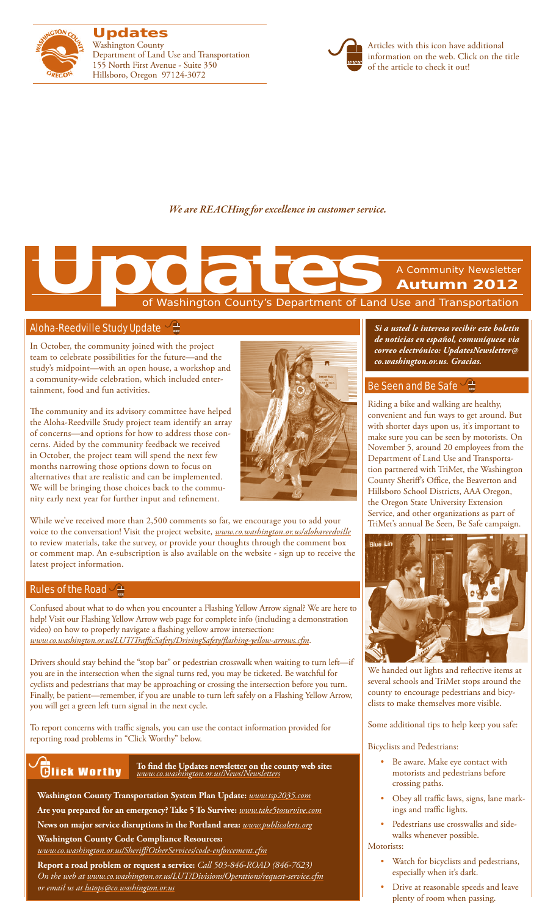

**Updates** Washington County Department of Land Use and Transportation 155 North First Avenue - Suite 350 Hillsboro, Oregon 97124-3072



Articles with this icon have additional information on the web. Click on the title of the article to check it out!

*We are REACHing for excellence in customer service.*

# of Washington County's Department of Land Use and Transportation A Community Newsletter **Autumn 2012 Updates**<br>The Contract of Washington County's Department of Land

# [Aloha-Reedville Study Update](www.co.washington.or.us/alohareedville)

In October, the community joined with the project team to celebrate possibilities for the future—and the study's midpoint—with an open house, a workshop and a community-wide celebration, which included entertainment, food and fun activities.

The community and its advisory committee have helped the Aloha-Reedville Study project team identify an array of concerns—and options for how to address those concerns. Aided by the community feedback we received in October, the project team will spend the next few months narrowing those options down to focus on alternatives that are realistic and can be implemented. We will be bringing those choices back to the community early next year for further input and refinement.



While we've received more than 2,500 comments so far, we encourage you to add your voice to the conversation! Visit the project website, *www.co.washington.or.us/alohareedville* to review materials, take the survey, or provide your thoughts through the comment box or comment map. An e-subscription is also available on the website - sign up to receive the latest project information.

# [Rules of the Road](www.co.washington.or.us/LUT/TrafficSafety/DrivingSafety/flashing-yellow-arrows.cfm)  $\vee \pm$

Confused about what to do when you encounter a Flashing Yellow Arrow signal? We are here to help! Visit our Flashing Yellow Arrow web page for complete info (including a demonstration video) on how to properly navigate a flashing yellow arrow intersection: *www.co.washington.or.us/LUT/TrafficSafety/DrivingSafety/flashing-yellow-arrows.cfm*.

Drivers should stay behind the "stop bar" or pedestrian crosswalk when waiting to turn left—if you are in the intersection when the signal turns red, you may be ticketed. Be watchful for cyclists and pedestrians that may be approaching or crossing the intersection before you turn. Finally, be patient—remember, if you are unable to turn left safely on a Flashing Yellow Arrow, you will get a green left turn signal in the next cycle.

To report concerns with traffic signals, you can use the contact information provided for reporting road problems in "Click Worthy" below.

# **Glick Worthy**

**To find the Updates newsletter on the county web site:**  *www.co.washington.or.us/News/Newsletters*

**Washington County Transportation System Plan Update:** *www.tsp2035.com* **Are you prepared for an emergency? Take 5 To Survive:** *www.take5tosurvive.com* **News on major service disruptions in the Portland area:** *www.publicalerts.org*

# **Washington County Code Compliance Resources:**

*www.co.washington.or.us/Sheriff/OtherServices/code-enforcement.cfm* **Report a road problem or request a service:** *Call 503-846-ROAD (846-7623) On the web at www.co.washington.or.us/LUT/Divisions/Operations/request-service.cfm or email us at lutops@co.washington.or.us*

*Si a usted le interesa recibir este boletín de noticias en español, comuníquese via correo electrónico: UpdatesNewsletter@ co.washington.or.us. Gracias.*

# [Be Seen and Be Safe](http://trimet.org/beseen/index.htm)

Riding a bike and walking are healthy, convenient and fun ways to get around. But with shorter days upon us, it's important to make sure you can be seen by motorists. On November 5, around 20 employees from the Department of Land Use and Transportation partnered with TriMet, the Washington County Sheriff's Office, the Beaverton and Hillsboro School Districts, AAA Oregon, the Oregon State University Extension Service, and other organizations as part of TriMet's annual Be Seen, Be Safe campaign.



We handed out lights and reflective items at several schools and TriMet stops around the county to encourage pedestrians and bicyclists to make themselves more visible.

Some additional tips to help keep you safe:

Bicyclists and Pedestrians:

- • Be aware. Make eye contact with motorists and pedestrians before crossing paths.
- • Obey all traffic laws, signs, lane markings and traffic lights.
- • Pedestrians use crosswalks and sidewalks whenever possible.

## Motorists:

- • Watch for bicyclists and pedestrians, especially when it's dark.
- • Drive at reasonable speeds and leave plenty of room when passing.